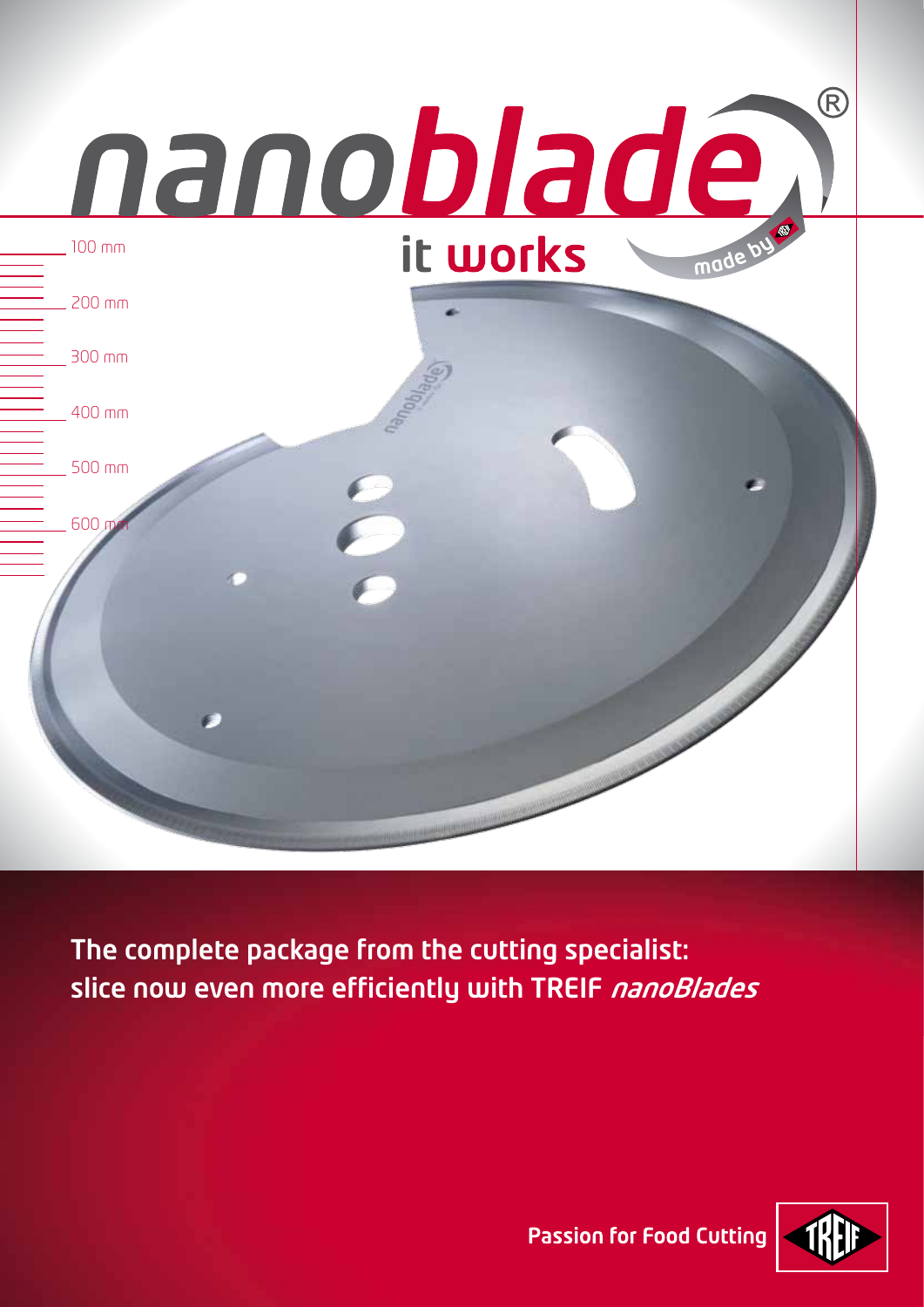

The complete package from the cutting specialist: slice now even more efficiently with TREIF nanoBlades



**Passion for Food Cutting**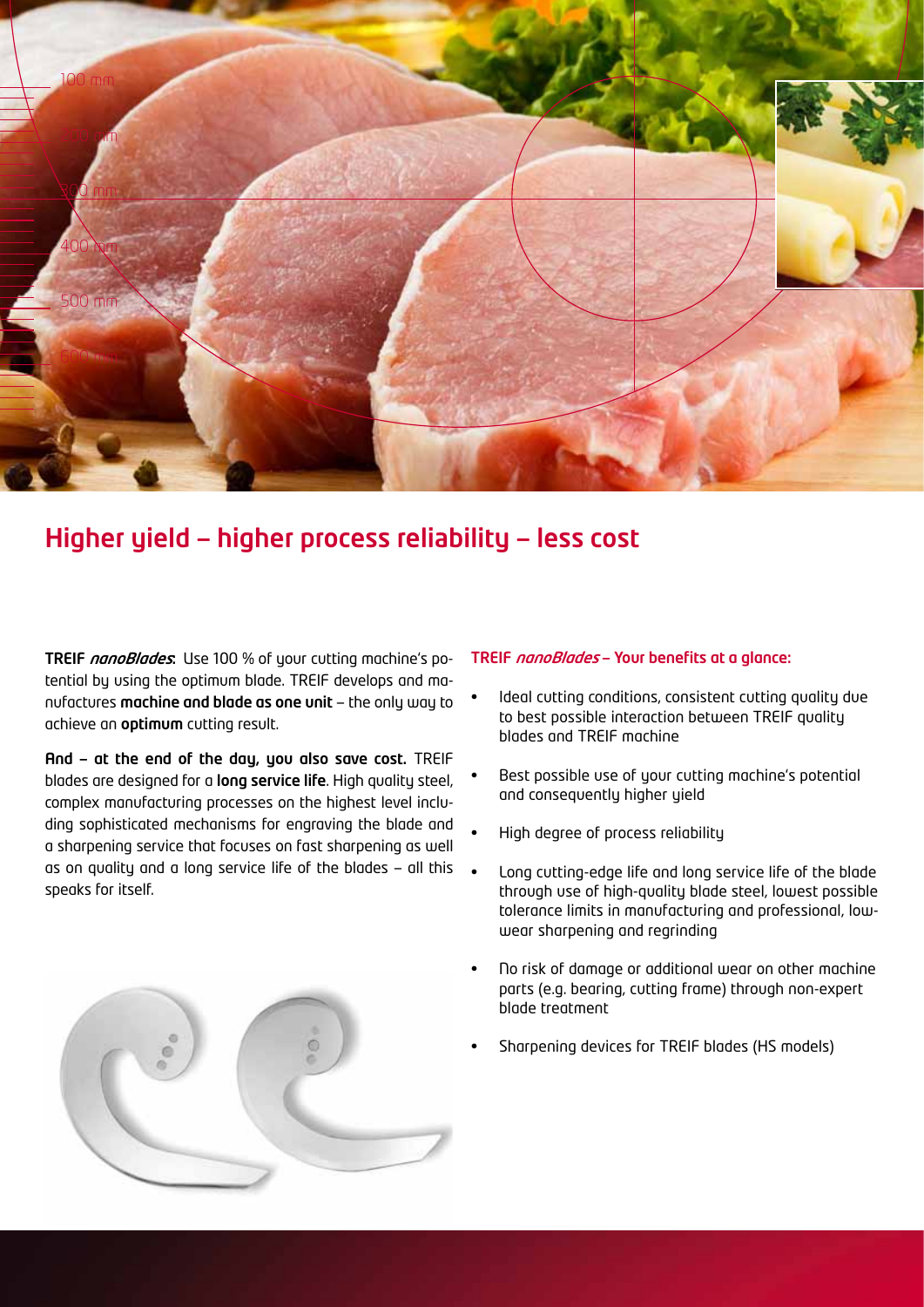

# Higher yield — higher process reliability — less cost

TREIF nanoBlades: Use 100 % of your cutting machine's potential by using the optimum blade. TREIF develops and manufactures machine and blade as one unit — the only way to achieve an optimum cutting result.

And — at the end of the day, you also save cost. TREIF blades are designed for a **long service life**. High quality steel, complex manufacturing processes on the highest level including sophisticated mechanisms for engraving the blade and a sharpening service that focuses on fast sharpening as well as on quality and a long service life of the blades — all this speaks for itself.

#### TREIF nanoBlades - Your benefits at a glance:

- Ideal cutting conditions, consistent cutting quality due to best possible interaction between TREIF quality blades and TREIF machine
- Best possible use of your cutting machine's potential and consequently higher yield
- High degree of process reliability
- • Long cutting-edge life and long service life of the blade through use of high-quality blade steel, lowest possible tolerance limits in manufacturing and professional, lowwear sharpening and regrinding
- No risk of damage or additional wear on other machine parts (e.g. bearing, cutting frame) through non-expert blade treatment
- Sharpening devices for TREIF blades (HS models)

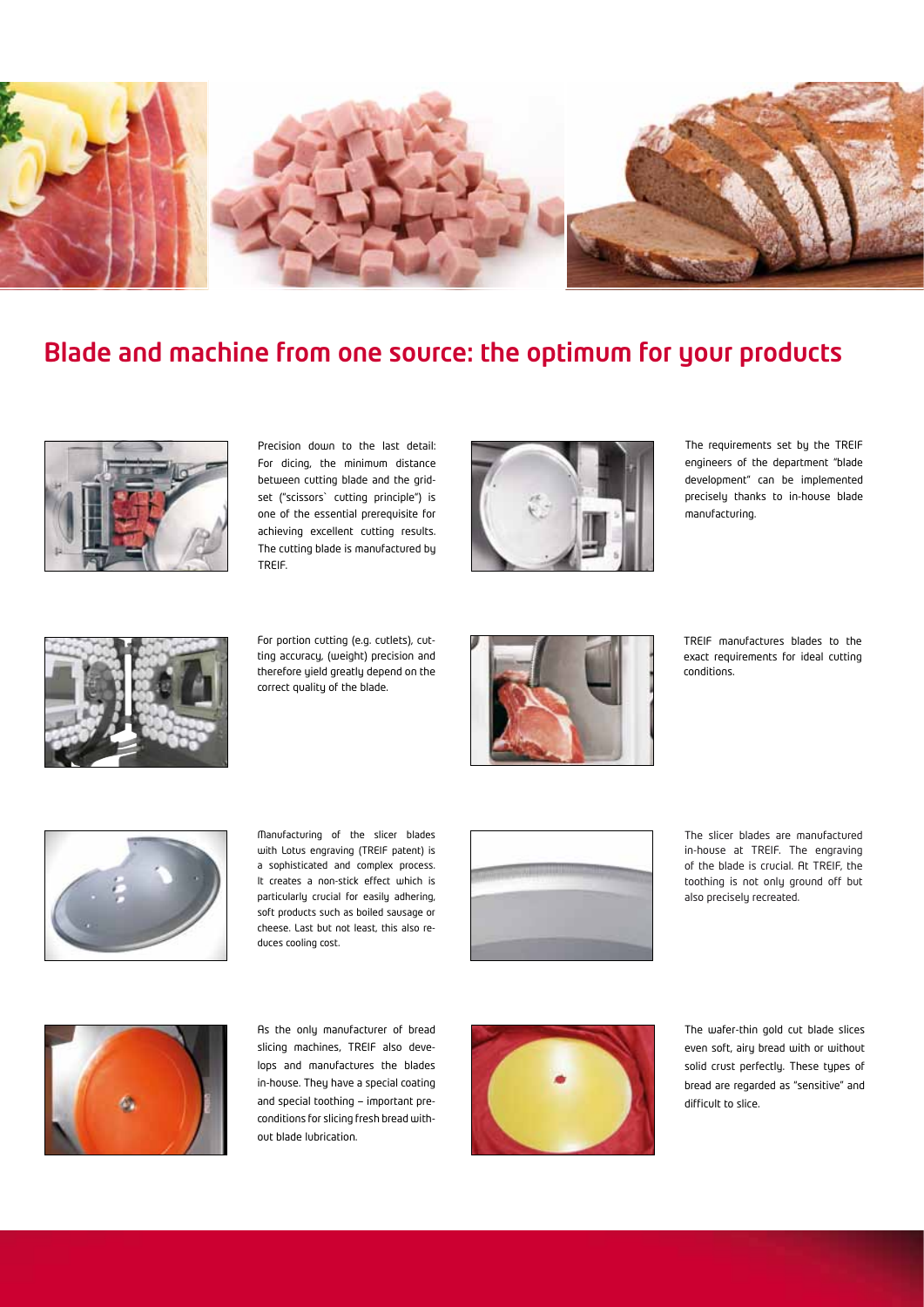

# Blade and machine from one source: the optimum for your products



Precision down to the last detail: For dicing, the minimum distance between cutting blade and the gridset ("scissors` cutting principle") is one of the essential prerequisite for achieving excellent cutting results. The cutting blade is manufactured by TREIF.



The requirements set by the TREIF engineers of the department "blade development" can be implemented precisely thanks to in-house blade manufacturing.



For portion cutting (e.g. cutlets), cutting accuracy, (weight) precision and therefore yield greatly depend on the correct quality of the blade.



TREIF manufactures blades to the exact requirements for ideal cutting conditions.



Manufacturing of the slicer blades with Lotus engraving (TREIF patent) is a sophisticated and complex process. It creates a non-stick effect which is particularly crucial for easily adhering, soft products such as boiled sausage or cheese. Last but not least, this also reduces cooling cost.



The slicer blades are manufactured in-house at TREIF. The engraving of the blade is crucial. At TREIF, the toothing is not only ground off but also precisely recreated.



As the only manufacturer of bread slicing machines, TREIF also develops and manufactures the blades in-house. They have a special coating and special toothing — important preconditions for slicing fresh bread without blade lubrication.



The wafer-thin gold cut blade slices even soft, airy bread with or without solid crust perfectly. These types of bread are regarded as "sensitive" and difficult to slice.